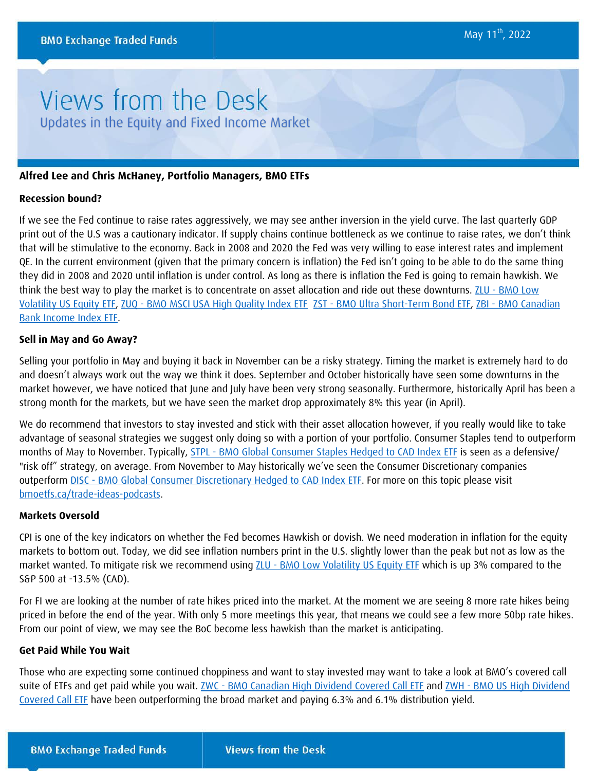# Views from the Desk Updates in the Equity and Fixed Income Market

# **Alfred Lee and Chris McHaney, Portfolio Managers, BMO ETFs**

## **Recession bound?**

If we see the Fed continue to raise rates aggressively, we may see anther inversion in the yield curve. The last quarterly GDP print out of the U.S was a cautionary indicator. If supply chains continue bottleneck as we continue to raise rates, we don't think that will be stimulative to the economy. Back in 2008 and 2020 the Fed was very willing to ease interest rates and implement QE. In the current environment (given that the primary concern is inflation) the Fed isn't going to be able to do the same thing they did in 2008 and 2020 until inflation is under control. As long as there is inflation the Fed is going to remain hawkish. We think the best way to play the market is to concentrate on asset allocation and ride out these downturns. ZLU - BMO Low [Volatility US Equity ETF,](https://www.bmo.com/gam/ca/advisor/products/etfs?fundUrl=/fundProfile/ZLU#fundUrl=%2FfundProfile%2FZLU) ZUQ - [BMO MSCI USA High Quality Index ETF](https://www.bmo.com/gam/ca/advisor/products/etfs?fundUrl=/fundProfile/ZUQ#fundUrl=%2FfundProfile%2FZUQ) ZST - [BMO Ultra Short-Term Bond ETF,](https://www.bmo.com/gam/ca/advisor/products/etfs?fundUrl=/fundProfile/ZST#fundUrl=%2FfundProfile%2FZST) ZBI - [BMO Canadian](https://www.bmo.com/gam/ca/advisor/products/etfs?fundUrl=/fundProfile/ZBI#fundUrl=%2FfundProfile%2FZBI)  [Bank Income Index ETF.](https://www.bmo.com/gam/ca/advisor/products/etfs?fundUrl=/fundProfile/ZBI#fundUrl=%2FfundProfile%2FZBI)

### **Sell in May and Go Away?**

Selling your portfolio in May and buying it back in November can be a risky strategy. Timing the market is extremely hard to do and doesn't always work out the way we think it does. September and October historically have seen some downturns in the market however, we have noticed that June and July have been very strong seasonally. Furthermore, historically April has been a strong month for the markets, but we have seen the market drop approximately 8% this year (in April).

We do recommend that investors to stay invested and stick with their asset allocation however, if you really would like to take advantage of seasonal strategies we suggest only doing so with a portion of your portfolio. Consumer Staples tend to outperform months of May to November. Typically, STPL - [BMO Global Consumer Staples Hedged to CAD Index ETF](https://www.bmo.com/gam/ca/advisor/products/etfs?fundUrl=/fundProfile/STPL#fundUrl=%2FfundProfile%2FSTPL) is seen as a defensive/ "risk off" strategy, on average. From November to May historically we've seen the Consumer Discretionary companies outperform DISC - [BMO Global Consumer Discretionary Hedged to CAD Index ETF.](https://www.bmo.com/gam/ca/advisor/products/etfs?fundUrl=/fundProfile/DISC#fundUrl=%2FfundProfile%2FDISC) For more on this topic please visit [bmoetfs.ca/trade-ideas-podcasts.](https://www.bmoetfs.ca/trade-ideas-podcasts)

# **Markets Oversold**

CPI is one of the key indicators on whether the Fed becomes Hawkish or dovish. We need moderation in inflation for the equity markets to bottom out. Today, we did see inflation numbers print in the U.S. slightly lower than the peak but not as low as the market wanted. To mitigate risk we recommend using ZLU - [BMO Low Volatility US Equity ETF](https://www.bmo.com/gam/ca/advisor/products/etfs?fundUrl=/fundProfile/ZLU#fundUrl=%2FfundProfile%2FZLU) which is up 3% compared to the S&P 500 at -13.5% (CAD).

For FI we are looking at the number of rate hikes priced into the market. At the moment we are seeing 8 more rate hikes being priced in before the end of the year. With only 5 more meetings this year, that means we could see a few more 50bp rate hikes. From our point of view, we may see the BoC become less hawkish than the market is anticipating.

## **Get Paid While You Wait**

Those who are expecting some continued choppiness and want to stay invested may want to take a look at BMO's covered call suite of ETFs and get paid while you wait. **ZWC - [BMO Canadian High Dividend Covered Call ETF](https://www.bmo.com/gam/ca/advisor/products/etfs?fundUrl=/fundProfile/ZWC#fundUrl=%2FfundProfile%2FZWC) and ZWH - BMO US High Dividend** [Covered Call ETF](https://www.bmo.com/gam/ca/advisor/products/etfs?fundUrl=/fundProfile/ZWH#fundUrl=%2FfundProfile%2FZWH) have been outperforming the broad market and paying 6.3% and 6.1% distribution yield.